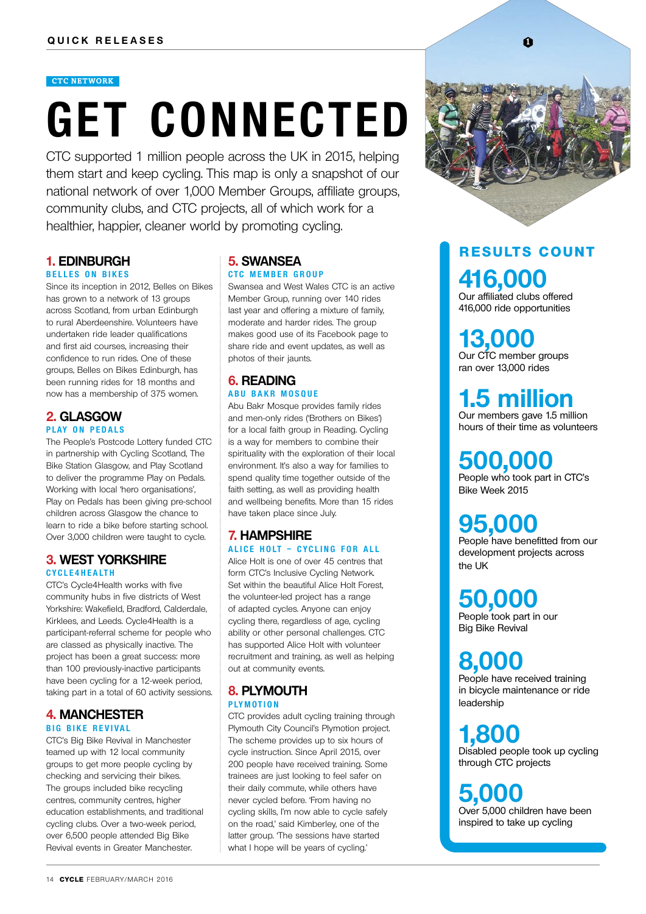#### **CTC NETWORK**

# **GET CONNECTED**

CTC supported 1 million people across the UK in 2015, helping them start and keep cycling. This map is only a snapshot of our national network of over 1,000 Member Groups, affiliate groups, community clubs, and CTC projects, all of which work for a healthier, happier, cleaner world by promoting cycling.

#### **1. EDINBURGH B e l l e s on Bik e s**

Since its inception in 2012, Belles on Bikes has grown to a network of 13 groups across Scotland, from urban Edinburgh to rural Aberdeenshire. Volunteers have undertaken ride leader qualifications and first aid courses, increasing their confidence to run rides. One of these groups, Belles on Bikes Edinburgh, has been running rides for 18 months and now has a membership of 375 women.

#### **2. GLASGOW PLAY ON PEDALS**

The People's Postcode Lottery funded CTC in partnership with Cycling Scotland, The Bike Station Glasgow, and Play Scotland to deliver the programme Play on Pedals. Working with local 'hero organisations', Play on Pedals has been giving pre-school children across Glasgow the chance to learn to ride a bike before starting school. Over 3,000 children were taught to cycle.

#### **3. WEST YORKSHIRE c y c l e 4 h e a lt h**

CTC's Cycle4Health works with five community hubs in five districts of West Yorkshire: Wakefield, Bradford, Calderdale, Kirklees, and Leeds. Cycle4Health is a participant-referral scheme for people who are classed as physically inactive. The project has been a great success: more than 100 previously-inactive participants have been cycling for a 12-week period, taking part in a total of 60 activity sessions.

#### **4. MANCHESTER b i g b i k e r e vival**

CTC's Big Bike Revival in Manchester teamed up with 12 local community groups to get more people cycling by checking and servicing their bikes. The groups included bike recycling centres, community centres, higher education establishments, and traditional cycling clubs. Over a two-week period, over 6,500 people attended Big Bike Revival events in Greater Manchester.

#### **5. SWANSEA CTC MEMBER GROUP**

Swansea and West Wales CTC is an active Member Group, running over 140 rides last year and offering a mixture of family, moderate and harder rides. The group makes good use of its Facebook page to share ride and event updates, as well as photos of their jaunts.

#### **6. READING**

#### **a b u b a k r m o s q u e**

Abu Bakr Mosque provides family rides and men-only rides ('Brothers on Bikes') for a local faith group in Reading. Cycling is a way for members to combine their spirituality with the exploration of their local environment. It's also a way for families to spend quality time together outside of the faith setting, as well as providing health and wellbeing benefits. More than 15 rides have taken place since July.

#### **7. HAMPSHIRE**

**ali ce h o lt – c y c l i ng f o r all**

Alice Holt is one of over 45 centres that form CTC's Inclusive Cycling Network. Set within the beautiful Alice Holt Forest, the volunteer-led project has a range of adapted cycles. Anyone can enjoy cycling there, regardless of age, cycling ability or other personal challenges. CTC has supported Alice Holt with volunteer recruitment and training, as well as helping out at community events.

#### **8. PLYMOUTH plym ot i on**

CTC provides adult cycling training through Plymouth City Council's Plymotion project. The scheme provides up to six hours of cycle instruction. Since April 2015, over 200 people have received training. Some trainees are just looking to feel safer on their daily commute, while others have never cycled before. 'From having no cycling skills, I'm now able to cycle safely on the road,' said Kimberley, one of the latter group. 'The sessions have started what I hope will be years of cycling.'



#### **416,000** Our affiliated clubs offered **r esults count**

416,000 ride opportunities

**13,000** Our CTC member groups ran over 13,000 rides

#### **1.5 million** Our members gave 1.5 million

hours of their time as volunteers

### **500,000**

People who took part in CTC's Bike Week 2015

### **95,000**

People have benefitted from our development projects across the UK

### **50,000**

People took part in our Big Bike Revival

### **8,000**

People have received training in bicycle maintenance or ride leadership

## **1,800**

Disabled people took up cycling through CTC projects

### **5,000**

Over 5,000 children have been inspired to take up cycling